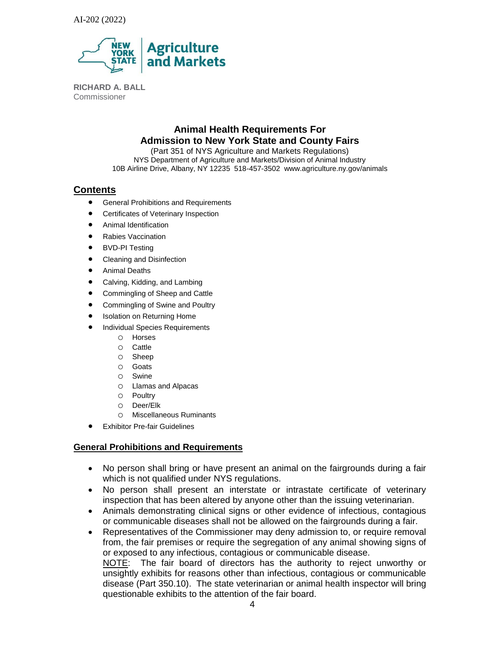

**RICHARD A. BALL**  Commissioner

# **Animal Health Requirements For Admission to New York State and County Fairs**

(Part 351 of NYS Agriculture and Markets Regulations) NYS Department of Agriculture and Markets/Division of Animal Industry 10B Airline Drive, Albany, NY 12235 518-457-3502 www.agriculture.ny.gov/animals

### **Contents**

- **•** General Prohibitions and Requirements
- **•** Certificates of Veterinary Inspection
- Animal Identification
- Rabies Vaccination
- BVD-PI Testing
- Cleaning and Disinfection
- Animal Deaths
- Calving, Kidding, and Lambing
- Commingling of Sheep and Cattle
- Commingling of Swine and Poultry
- Isolation on Returning Home
- Individual Species Requirements
	- o Horses
	- o Cattle
	- o Sheep
	- o Goats
	- o Swine
	- o Llamas and Alpacas
	- o Poultry
	- o Deer/Elk
	- o Miscellaneous Ruminants
- **•** Exhibitor Pre-fair Guidelines

### **General Prohibitions and Requirements**

- No person shall bring or have present an animal on the fairgrounds during a fair which is not qualified under NYS regulations.
- No person shall present an interstate or intrastate certificate of veterinary inspection that has been altered by anyone other than the issuing veterinarian.
- Animals demonstrating clinical signs or other evidence of infectious, contagious or communicable diseases shall not be allowed on the fairgrounds during a fair.
- Representatives of the Commissioner may deny admission to, or require removal from, the fair premises or require the segregation of any animal showing signs of or exposed to any infectious, contagious or communicable disease. NOTE: The fair board of directors has the authority to reject unworthy or unsightly exhibits for reasons other than infectious, contagious or communicable

disease (Part 350.10). The state veterinarian or animal health inspector will bring questionable exhibits to the attention of the fair board.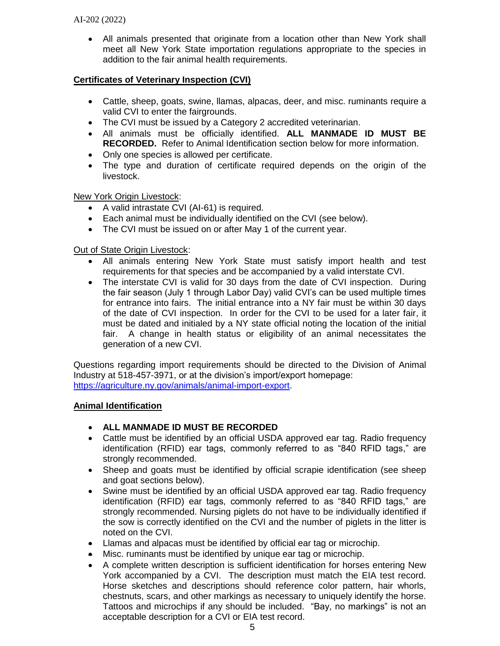All animals presented that originate from a location other than New York shall meet all New York State importation regulations appropriate to the species in addition to the fair animal health requirements.

## **Certificates of Veterinary Inspection (CVI)**

- Cattle, sheep, goats, swine, llamas, alpacas, deer, and misc. ruminants require a valid CVI to enter the fairgrounds.
- The CVI must be issued by a Category 2 accredited veterinarian.
- All animals must be officially identified. **ALL MANMADE ID MUST BE RECORDED.** Refer to Animal Identification section below for more information.
- Only one species is allowed per certificate.
- The type and duration of certificate required depends on the origin of the livestock.

New York Origin Livestock:

- A valid intrastate CVI (AI-61) is required.
- Each animal must be individually identified on the CVI (see below).
- The CVI must be issued on or after May 1 of the current year.

### Out of State Origin Livestock:

- All animals entering New York State must satisfy import health and test requirements for that species and be accompanied by a valid interstate CVI.
- The interstate CVI is valid for 30 days from the date of CVI inspection. During the fair season (July 1 through Labor Day) valid CVI's can be used multiple times for entrance into fairs. The initial entrance into a NY fair must be within 30 days of the date of CVI inspection. In order for the CVI to be used for a later fair, it must be dated and initialed by a NY state official noting the location of the initial fair. A change in health status or eligibility of an animal necessitates the generation of a new CVI.

Questions regarding import requirements should be directed to the Division of Animal Industry at 518-457-3971, or at the division's import/export homepage: [https://agriculture.ny.gov/animals/animal-import-export.](https://agriculture.ny.gov/animals/animal-import-export)

### **Animal Identification**

- **ALL MANMADE ID MUST BE RECORDED**
- Cattle must be identified by an official USDA approved ear tag. Radio frequency identification (RFID) ear tags, commonly referred to as "840 RFID tags," are strongly recommended.
- Sheep and goats must be identified by official scrapie identification (see sheep and goat sections below).
- Swine must be identified by an official USDA approved ear tag. Radio frequency identification (RFID) ear tags, commonly referred to as "840 RFID tags," are strongly recommended. Nursing piglets do not have to be individually identified if the sow is correctly identified on the CVI and the number of piglets in the litter is noted on the CVI.
- Llamas and alpacas must be identified by official ear tag or microchip.
- Misc. ruminants must be identified by unique ear tag or microchip.
- A complete written description is sufficient identification for horses entering New York accompanied by a CVI. The description must match the EIA test record. Horse sketches and descriptions should reference color pattern, hair whorls, chestnuts, scars, and other markings as necessary to uniquely identify the horse. Tattoos and microchips if any should be included. "Bay, no markings" is not an acceptable description for a CVI or EIA test record.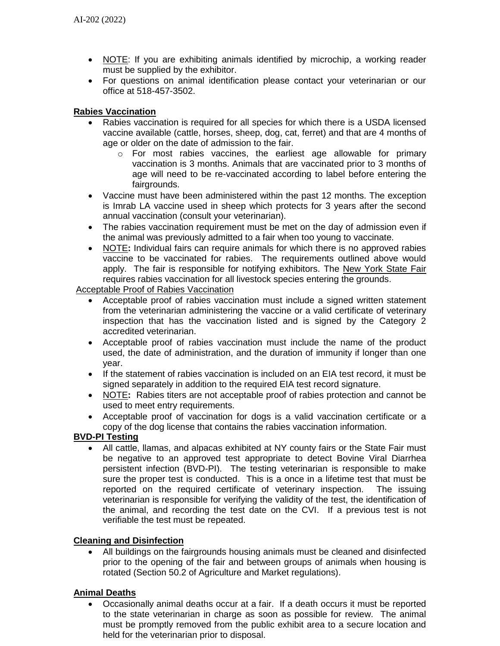- NOTE: If you are exhibiting animals identified by microchip, a working reader must be supplied by the exhibitor.
- For questions on animal identification please contact your veterinarian or our office at 518-457-3502.

## **Rabies Vaccination**

- Rabies vaccination is required for all species for which there is a USDA licensed vaccine available (cattle, horses, sheep, dog, cat, ferret) and that are 4 months of age or older on the date of admission to the fair.
	- $\circ$  For most rabies vaccines, the earliest age allowable for primary vaccination is 3 months. Animals that are vaccinated prior to 3 months of age will need to be re-vaccinated according to label before entering the fairgrounds.
- Vaccine must have been administered within the past 12 months. The exception is Imrab LA vaccine used in sheep which protects for 3 years after the second annual vaccination (consult your veterinarian).
- The rabies vaccination requirement must be met on the day of admission even if the animal was previously admitted to a fair when too young to vaccinate.
- NOTE**:** Individual fairs can require animals for which there is no approved rabies vaccine to be vaccinated for rabies. The requirements outlined above would apply. The fair is responsible for notifying exhibitors. The New York State Fair requires rabies vaccination for all livestock species entering the grounds.

### Acceptable Proof of Rabies Vaccination

- Acceptable proof of rabies vaccination must include a signed written statement from the veterinarian administering the vaccine or a valid certificate of veterinary inspection that has the vaccination listed and is signed by the Category 2 accredited veterinarian.
- Acceptable proof of rabies vaccination must include the name of the product used, the date of administration, and the duration of immunity if longer than one year.
- If the statement of rabies vaccination is included on an EIA test record, it must be signed separately in addition to the required EIA test record signature.
- NOTE**:** Rabies titers are not acceptable proof of rabies protection and cannot be used to meet entry requirements.
- Acceptable proof of vaccination for dogs is a valid vaccination certificate or a copy of the dog license that contains the rabies vaccination information.

# **BVD-PI Testing**

 All cattle, llamas, and alpacas exhibited at NY county fairs or the State Fair must be negative to an approved test appropriate to detect Bovine Viral Diarrhea persistent infection (BVD-PI). The testing veterinarian is responsible to make sure the proper test is conducted. This is a once in a lifetime test that must be reported on the required certificate of veterinary inspection. The issuing veterinarian is responsible for verifying the validity of the test, the identification of the animal, and recording the test date on the CVI. If a previous test is not verifiable the test must be repeated.

### **Cleaning and Disinfection**

 All buildings on the fairgrounds housing animals must be cleaned and disinfected prior to the opening of the fair and between groups of animals when housing is rotated (Section 50.2 of Agriculture and Market regulations).

# **Animal Deaths**

 Occasionally animal deaths occur at a fair. If a death occurs it must be reported to the state veterinarian in charge as soon as possible for review. The animal must be promptly removed from the public exhibit area to a secure location and held for the veterinarian prior to disposal.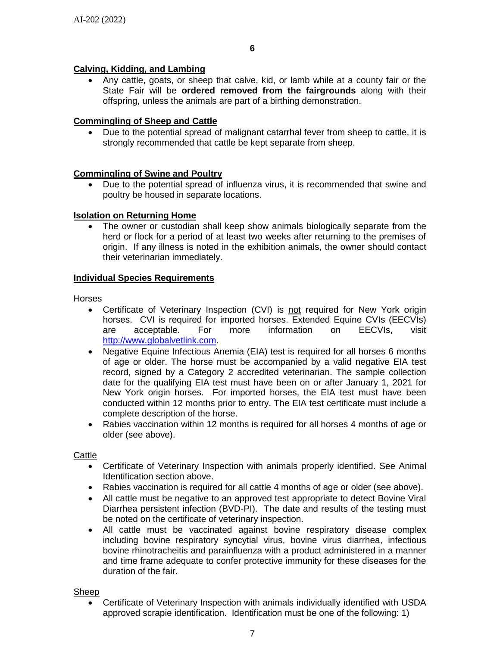# **Calving, Kidding, and Lambing**

 Any cattle, goats, or sheep that calve, kid, or lamb while at a county fair or the State Fair will be **ordered removed from the fairgrounds** along with their offspring, unless the animals are part of a birthing demonstration.

# **Commingling of Sheep and Cattle**

 Due to the potential spread of malignant catarrhal fever from sheep to cattle, it is strongly recommended that cattle be kept separate from sheep.

# **Commingling of Swine and Poultry**

 Due to the potential spread of influenza virus, it is recommended that swine and poultry be housed in separate locations.

### **Isolation on Returning Home**

 The owner or custodian shall keep show animals biologically separate from the herd or flock for a period of at least two weeks after returning to the premises of origin. If any illness is noted in the exhibition animals, the owner should contact their veterinarian immediately.

### **Individual Species Requirements**

#### Horses

- Certificate of Veterinary Inspection (CVI) is not required for New York origin horses. CVI is required for imported horses. Extended Equine CVIs (EECVIs) are acceptable. For more information on EECVIs, visit [http://www.globalvetlink.com.](http://www.globalvetlink.com/)
- Negative Equine Infectious Anemia (EIA) test is required for all horses 6 months of age or older. The horse must be accompanied by a valid negative EIA test record, signed by a Category 2 accredited veterinarian. The sample collection date for the qualifying EIA test must have been on or after January 1, 2021 for New York origin horses. For imported horses, the EIA test must have been conducted within 12 months prior to entry. The EIA test certificate must include a complete description of the horse.
- Rabies vaccination within 12 months is required for all horses 4 months of age or older (see above).

### **Cattle**

- Certificate of Veterinary Inspection with animals properly identified. See Animal Identification section above.
- Rabies vaccination is required for all cattle 4 months of age or older (see above).
- All cattle must be negative to an approved test appropriate to detect Bovine Viral Diarrhea persistent infection (BVD-PI). The date and results of the testing must be noted on the certificate of veterinary inspection.
- All cattle must be vaccinated against bovine respiratory disease complex including bovine respiratory syncytial virus, bovine virus diarrhea, infectious bovine rhinotracheitis and parainfluenza with a product administered in a manner and time frame adequate to confer protective immunity for these diseases for the duration of the fair.

Sheep

 Certificate of Veterinary Inspection with animals individually identified with USDA approved scrapie identification. Identification must be one of the following: 1)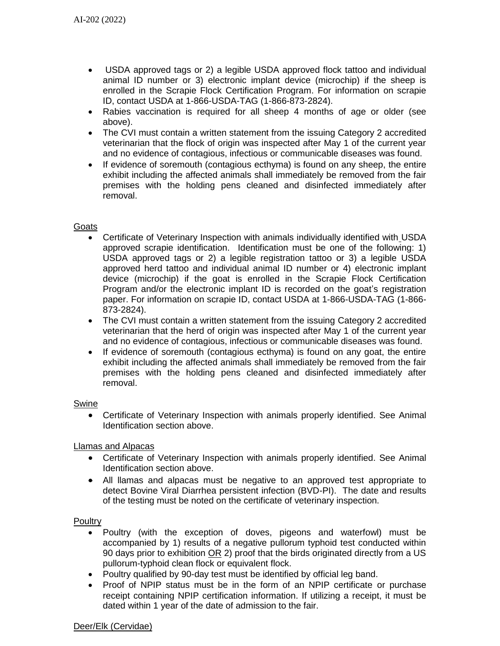- USDA approved tags or 2) a legible USDA approved flock tattoo and individual animal ID number or 3) electronic implant device (microchip) if the sheep is enrolled in the Scrapie Flock Certification Program. For information on scrapie ID, contact USDA at 1-866-USDA-TAG (1-866-873-2824).
- Rabies vaccination is required for all sheep 4 months of age or older (see above).
- The CVI must contain a written statement from the issuing Category 2 accredited veterinarian that the flock of origin was inspected after May 1 of the current year and no evidence of contagious, infectious or communicable diseases was found.
- If evidence of soremouth (contagious ecthyma) is found on any sheep, the entire exhibit including the affected animals shall immediately be removed from the fair premises with the holding pens cleaned and disinfected immediately after removal.

#### **Goats**

- Certificate of Veterinary Inspection with animals individually identified with USDA approved scrapie identification. Identification must be one of the following: 1) USDA approved tags or 2) a legible registration tattoo or 3) a legible USDA approved herd tattoo and individual animal ID number or 4) electronic implant device (microchip) if the goat is enrolled in the Scrapie Flock Certification Program and/or the electronic implant ID is recorded on the goat's registration paper. For information on scrapie ID, contact USDA at 1-866-USDA-TAG (1-866- 873-2824).
- The CVI must contain a written statement from the issuing Category 2 accredited veterinarian that the herd of origin was inspected after May 1 of the current year and no evidence of contagious, infectious or communicable diseases was found.
- If evidence of soremouth (contagious ecthyma) is found on any goat, the entire exhibit including the affected animals shall immediately be removed from the fair premises with the holding pens cleaned and disinfected immediately after removal.

#### Swine

 Certificate of Veterinary Inspection with animals properly identified. See Animal Identification section above.

#### Llamas and Alpacas

- Certificate of Veterinary Inspection with animals properly identified. See Animal Identification section above.
- All llamas and alpacas must be negative to an approved test appropriate to detect Bovine Viral Diarrhea persistent infection (BVD-PI). The date and results of the testing must be noted on the certificate of veterinary inspection.

#### **Poultry**

- Poultry (with the exception of doves, pigeons and waterfowl) must be accompanied by 1) results of a negative pullorum typhoid test conducted within 90 days prior to exhibition OR 2) proof that the birds originated directly from a US pullorum-typhoid clean flock or equivalent flock.
- Poultry qualified by 90-day test must be identified by official leg band.
- Proof of NPIP status must be in the form of an NPIP certificate or purchase receipt containing NPIP certification information. If utilizing a receipt, it must be dated within 1 year of the date of admission to the fair.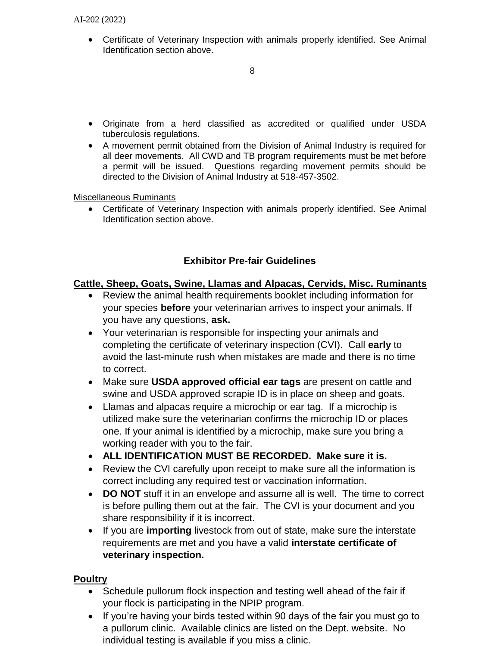Certificate of Veterinary Inspection with animals properly identified. See Animal Identification section above.

- Originate from a herd classified as accredited or qualified under USDA tuberculosis regulations.
- A movement permit obtained from the Division of Animal Industry is required for all deer movements. All CWD and TB program requirements must be met before a permit will be issued. Questions regarding movement permits should be directed to the Division of Animal Industry at 518-457-3502.

# Miscellaneous Ruminants

 Certificate of Veterinary Inspection with animals properly identified. See Animal Identification section above.

# **Exhibitor Pre-fair Guidelines**

# **Cattle, Sheep, Goats, Swine, Llamas and Alpacas, Cervids, Misc. Ruminants**

- Review the animal health requirements booklet including information for your species **before** your veterinarian arrives to inspect your animals. If you have any questions, **ask.**
- Your veterinarian is responsible for inspecting your animals and completing the certificate of veterinary inspection (CVI). Call **early** to avoid the last-minute rush when mistakes are made and there is no time to correct.
- Make sure **USDA approved official ear tags** are present on cattle and swine and USDA approved scrapie ID is in place on sheep and goats.
- Llamas and alpacas require a microchip or ear tag. If a microchip is utilized make sure the veterinarian confirms the microchip ID or places one. If your animal is identified by a microchip, make sure you bring a working reader with you to the fair.
- **ALL IDENTIFICATION MUST BE RECORDED. Make sure it is.**
- Review the CVI carefully upon receipt to make sure all the information is correct including any required test or vaccination information.
- **DO NOT** stuff it in an envelope and assume all is well. The time to correct is before pulling them out at the fair. The CVI is your document and you share responsibility if it is incorrect.
- If you are **importing** livestock from out of state, make sure the interstate requirements are met and you have a valid **interstate certificate of veterinary inspection.**

# **Poultry**

- Schedule pullorum flock inspection and testing well ahead of the fair if your flock is participating in the NPIP program.
- If you're having your birds tested within 90 days of the fair you must go to a pullorum clinic. Available clinics are listed on the Dept. website. No individual testing is available if you miss a clinic.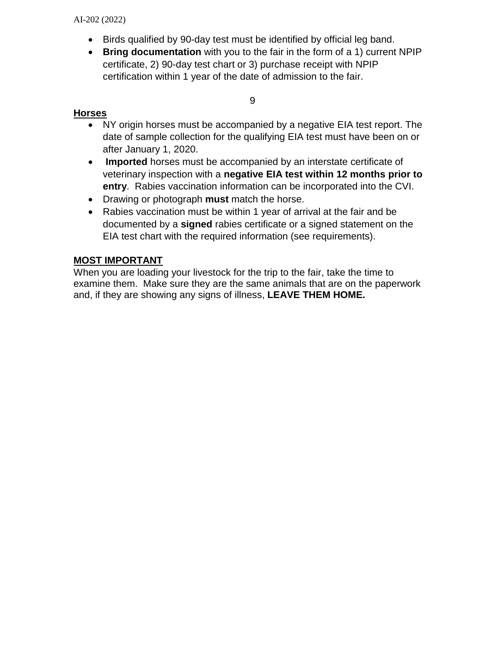AI-202 (2022)

- Birds qualified by 90-day test must be identified by official leg band.
- **Bring documentation** with you to the fair in the form of a 1) current NPIP certificate, 2) 90-day test chart or 3) purchase receipt with NPIP certification within 1 year of the date of admission to the fair.

9

# **Horses**

- NY origin horses must be accompanied by a negative EIA test report. The date of sample collection for the qualifying EIA test must have been on or after January 1, 2020.
- **Imported** horses must be accompanied by an interstate certificate of veterinary inspection with a **negative EIA test within 12 months prior to entry**. Rabies vaccination information can be incorporated into the CVI.
- Drawing or photograph **must** match the horse.
- Rabies vaccination must be within 1 year of arrival at the fair and be documented by a **signed** rabies certificate or a signed statement on the EIA test chart with the required information (see requirements).

# **MOST IMPORTANT**

When you are loading your livestock for the trip to the fair, take the time to examine them. Make sure they are the same animals that are on the paperwork and, if they are showing any signs of illness, **LEAVE THEM HOME.**